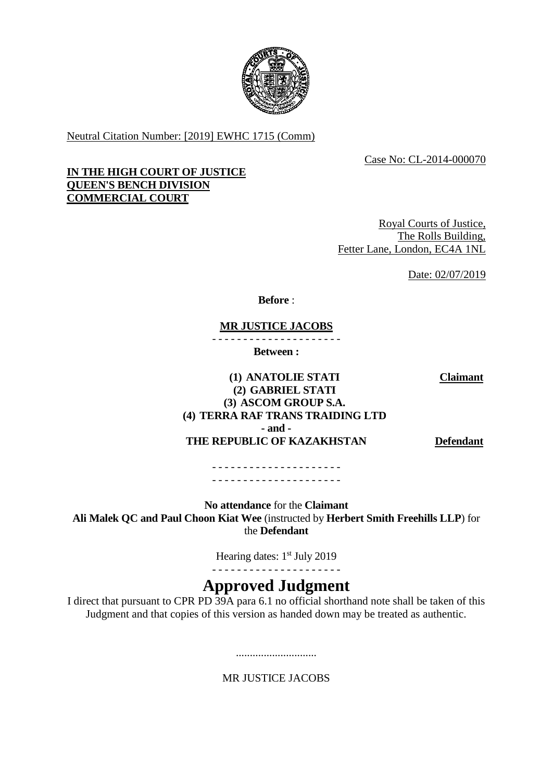

Neutral Citation Number: [2019] EWHC 1715 (Comm)

Case No: CL-2014-000070

## **IN THE HIGH COURT OF JUSTICE QUEEN'S BENCH DIVISION COMMERCIAL COURT**

Royal Courts of Justice, The Rolls Building, Fetter Lane, London, EC4A 1NL

Date: 02/07/2019

**Before** :

**MR JUSTICE JACOBS**

- - - - - - - - - - - - - - - - - - - - -

**Between :**

**(1) ANATOLIE STATI (2) GABRIEL STATI (3) ASCOM GROUP S.A. (4) TERRA RAF TRANS TRAIDING LTD - and - THE REPUBLIC OF KAZAKHSTAN Defendant**

**Claimant**

- - - - - - - - - - - - - - - - - - - - - - - - - - - - - - - - - - - - - - - - - -

**No attendance** for the **Claimant Ali Malek QC and Paul Choon Kiat Wee** (instructed by **Herbert Smith Freehills LLP**) for the **Defendant**

> Hearing dates: 1<sup>st</sup> July 2019 - - - - - - - - - - - - - - - - - - - - -

# **Approved Judgment**

I direct that pursuant to CPR PD 39A para 6.1 no official shorthand note shall be taken of this Judgment and that copies of this version as handed down may be treated as authentic.

MR JUSTICE JACOBS

.............................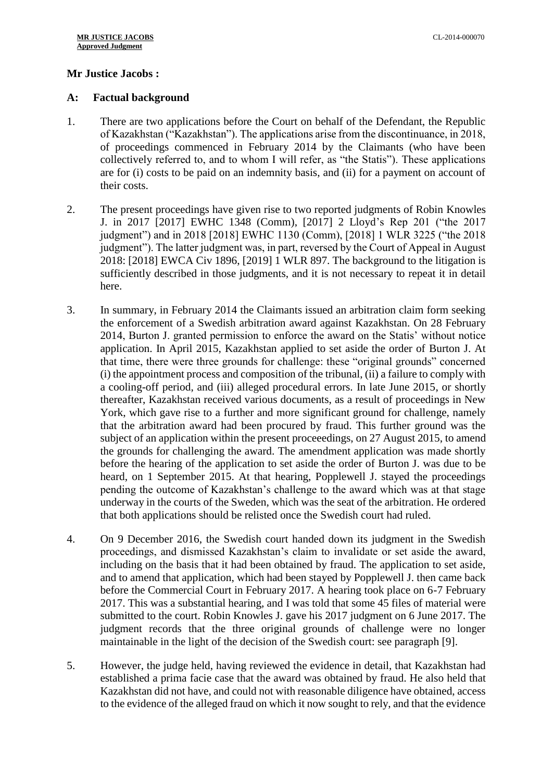## **Mr Justice Jacobs :**

#### **A: Factual background**

- 1. There are two applications before the Court on behalf of the Defendant, the Republic of Kazakhstan ("Kazakhstan"). The applications arise from the discontinuance, in 2018, of proceedings commenced in February 2014 by the Claimants (who have been collectively referred to, and to whom I will refer, as "the Statis"). These applications are for (i) costs to be paid on an indemnity basis, and (ii) for a payment on account of their costs.
- 2. The present proceedings have given rise to two reported judgments of Robin Knowles J. in 2017 [2017] EWHC 1348 (Comm), [2017] 2 Lloyd's Rep 201 ("the 2017 judgment") and in 2018 [2018] EWHC 1130 (Comm), [2018] 1 WLR 3225 ("the 2018 judgment"). The latter judgment was, in part, reversed by the Court of Appeal in August 2018: [2018] EWCA Civ 1896, [2019] 1 WLR 897. The background to the litigation is sufficiently described in those judgments, and it is not necessary to repeat it in detail here.
- 3. In summary, in February 2014 the Claimants issued an arbitration claim form seeking the enforcement of a Swedish arbitration award against Kazakhstan. On 28 February 2014, Burton J. granted permission to enforce the award on the Statis' without notice application. In April 2015, Kazakhstan applied to set aside the order of Burton J. At that time, there were three grounds for challenge: these "original grounds" concerned (i) the appointment process and composition of the tribunal, (ii) a failure to comply with a cooling-off period, and (iii) alleged procedural errors. In late June 2015, or shortly thereafter, Kazakhstan received various documents, as a result of proceedings in New York, which gave rise to a further and more significant ground for challenge, namely that the arbitration award had been procured by fraud. This further ground was the subject of an application within the present proceeedings, on 27 August 2015, to amend the grounds for challenging the award. The amendment application was made shortly before the hearing of the application to set aside the order of Burton J. was due to be heard, on 1 September 2015. At that hearing, Popplewell J. stayed the proceedings pending the outcome of Kazakhstan's challenge to the award which was at that stage underway in the courts of the Sweden, which was the seat of the arbitration. He ordered that both applications should be relisted once the Swedish court had ruled.
- 4. On 9 December 2016, the Swedish court handed down its judgment in the Swedish proceedings, and dismissed Kazakhstan's claim to invalidate or set aside the award, including on the basis that it had been obtained by fraud. The application to set aside, and to amend that application, which had been stayed by Popplewell J. then came back before the Commercial Court in February 2017. A hearing took place on 6-7 February 2017. This was a substantial hearing, and I was told that some 45 files of material were submitted to the court. Robin Knowles J. gave his 2017 judgment on 6 June 2017. The judgment records that the three original grounds of challenge were no longer maintainable in the light of the decision of the Swedish court: see paragraph [9].
- 5. However, the judge held, having reviewed the evidence in detail, that Kazakhstan had established a prima facie case that the award was obtained by fraud. He also held that Kazakhstan did not have, and could not with reasonable diligence have obtained, access to the evidence of the alleged fraud on which it now sought to rely, and that the evidence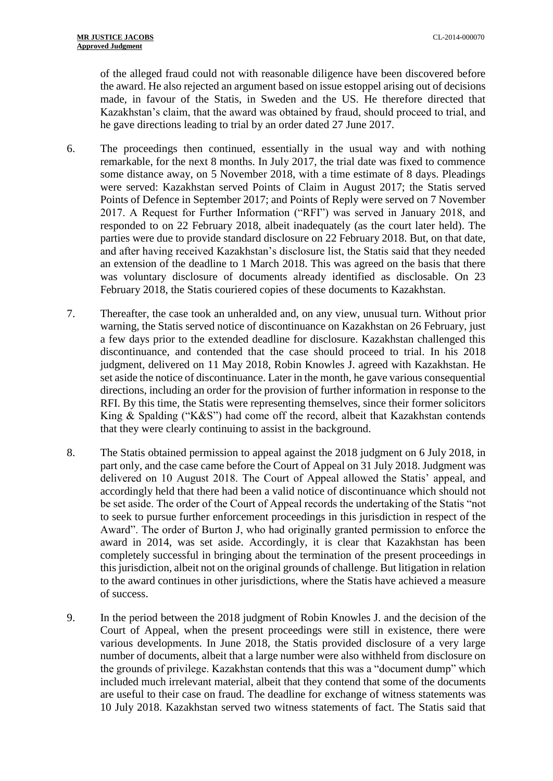of the alleged fraud could not with reasonable diligence have been discovered before the award. He also rejected an argument based on issue estoppel arising out of decisions made, in favour of the Statis, in Sweden and the US. He therefore directed that Kazakhstan's claim, that the award was obtained by fraud, should proceed to trial, and he gave directions leading to trial by an order dated 27 June 2017.

- 6. The proceedings then continued, essentially in the usual way and with nothing remarkable, for the next 8 months. In July 2017, the trial date was fixed to commence some distance away, on 5 November 2018, with a time estimate of 8 days. Pleadings were served: Kazakhstan served Points of Claim in August 2017; the Statis served Points of Defence in September 2017; and Points of Reply were served on 7 November 2017. A Request for Further Information ("RFI") was served in January 2018, and responded to on 22 February 2018, albeit inadequately (as the court later held). The parties were due to provide standard disclosure on 22 February 2018. But, on that date, and after having received Kazakhstan's disclosure list, the Statis said that they needed an extension of the deadline to 1 March 2018. This was agreed on the basis that there was voluntary disclosure of documents already identified as disclosable. On 23 February 2018, the Statis couriered copies of these documents to Kazakhstan.
- 7. Thereafter, the case took an unheralded and, on any view, unusual turn. Without prior warning, the Statis served notice of discontinuance on Kazakhstan on 26 February, just a few days prior to the extended deadline for disclosure. Kazakhstan challenged this discontinuance, and contended that the case should proceed to trial. In his 2018 judgment, delivered on 11 May 2018, Robin Knowles J. agreed with Kazakhstan. He set aside the notice of discontinuance. Later in the month, he gave various consequential directions, including an order for the provision of further information in response to the RFI. By this time, the Statis were representing themselves, since their former solicitors King & Spalding ("K&S") had come off the record, albeit that Kazakhstan contends that they were clearly continuing to assist in the background.
- 8. The Statis obtained permission to appeal against the 2018 judgment on 6 July 2018, in part only, and the case came before the Court of Appeal on 31 July 2018. Judgment was delivered on 10 August 2018. The Court of Appeal allowed the Statis' appeal, and accordingly held that there had been a valid notice of discontinuance which should not be set aside. The order of the Court of Appeal records the undertaking of the Statis "not to seek to pursue further enforcement proceedings in this jurisdiction in respect of the Award". The order of Burton J, who had originally granted permission to enforce the award in 2014, was set aside. Accordingly, it is clear that Kazakhstan has been completely successful in bringing about the termination of the present proceedings in this jurisdiction, albeit not on the original grounds of challenge. But litigation in relation to the award continues in other jurisdictions, where the Statis have achieved a measure of success.
- 9. In the period between the 2018 judgment of Robin Knowles J. and the decision of the Court of Appeal, when the present proceedings were still in existence, there were various developments. In June 2018, the Statis provided disclosure of a very large number of documents, albeit that a large number were also withheld from disclosure on the grounds of privilege. Kazakhstan contends that this was a "document dump" which included much irrelevant material, albeit that they contend that some of the documents are useful to their case on fraud. The deadline for exchange of witness statements was 10 July 2018. Kazakhstan served two witness statements of fact. The Statis said that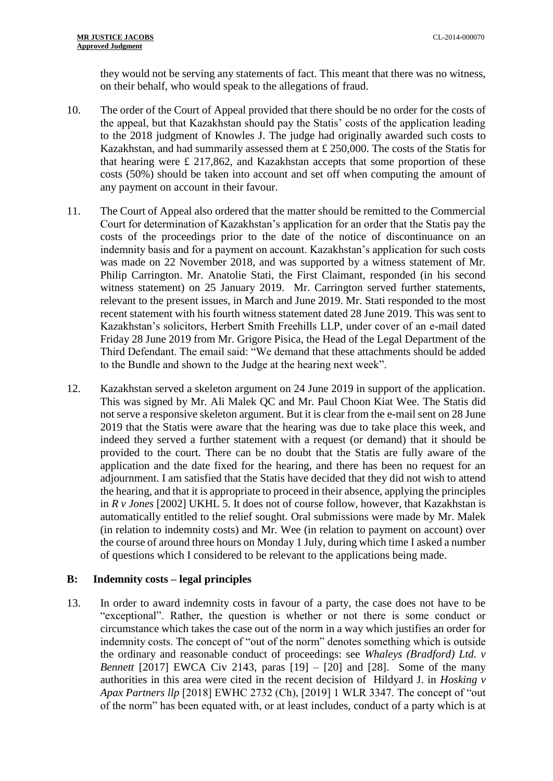they would not be serving any statements of fact. This meant that there was no witness, on their behalf, who would speak to the allegations of fraud.

- 10. The order of the Court of Appeal provided that there should be no order for the costs of the appeal, but that Kazakhstan should pay the Statis' costs of the application leading to the 2018 judgment of Knowles J. The judge had originally awarded such costs to Kazakhstan, and had summarily assessed them at £ 250,000. The costs of the Statis for that hearing were £ 217,862, and Kazakhstan accepts that some proportion of these costs (50%) should be taken into account and set off when computing the amount of any payment on account in their favour.
- 11. The Court of Appeal also ordered that the matter should be remitted to the Commercial Court for determination of Kazakhstan's application for an order that the Statis pay the costs of the proceedings prior to the date of the notice of discontinuance on an indemnity basis and for a payment on account. Kazakhstan's application for such costs was made on 22 November 2018, and was supported by a witness statement of Mr. Philip Carrington. Mr. Anatolie Stati, the First Claimant, responded (in his second witness statement) on 25 January 2019. Mr. Carrington served further statements, relevant to the present issues, in March and June 2019. Mr. Stati responded to the most recent statement with his fourth witness statement dated 28 June 2019. This was sent to Kazakhstan's solicitors, Herbert Smith Freehills LLP, under cover of an e-mail dated Friday 28 June 2019 from Mr. Grigore Pisica, the Head of the Legal Department of the Third Defendant. The email said: "We demand that these attachments should be added to the Bundle and shown to the Judge at the hearing next week".
- 12. Kazakhstan served a skeleton argument on 24 June 2019 in support of the application. This was signed by Mr. Ali Malek QC and Mr. Paul Choon Kiat Wee. The Statis did not serve a responsive skeleton argument. But it is clear from the e-mail sent on 28 June 2019 that the Statis were aware that the hearing was due to take place this week, and indeed they served a further statement with a request (or demand) that it should be provided to the court. There can be no doubt that the Statis are fully aware of the application and the date fixed for the hearing, and there has been no request for an adjournment. I am satisfied that the Statis have decided that they did not wish to attend the hearing, and that it is appropriate to proceed in their absence, applying the principles in *R v Jones* [2002] UKHL 5. It does not of course follow, however, that Kazakhstan is automatically entitled to the relief sought. Oral submissions were made by Mr. Malek (in relation to indemnity costs) and Mr. Wee (in relation to payment on account) over the course of around three hours on Monday 1 July, during which time I asked a number of questions which I considered to be relevant to the applications being made.

#### **B: Indemnity costs – legal principles**

13. In order to award indemnity costs in favour of a party, the case does not have to be "exceptional". Rather, the question is whether or not there is some conduct or circumstance which takes the case out of the norm in a way which justifies an order for indemnity costs. The concept of "out of the norm" denotes something which is outside the ordinary and reasonable conduct of proceedings: see *Whaleys (Bradford) Ltd. v Bennett* [2017] EWCA Civ 2143, paras [19] – [20] and [28]. Some of the many authorities in this area were cited in the recent decision of Hildyard J. in *Hosking v Apax Partners llp* [2018] EWHC 2732 (Ch), [2019] 1 WLR 3347. The concept of "out of the norm" has been equated with, or at least includes, conduct of a party which is at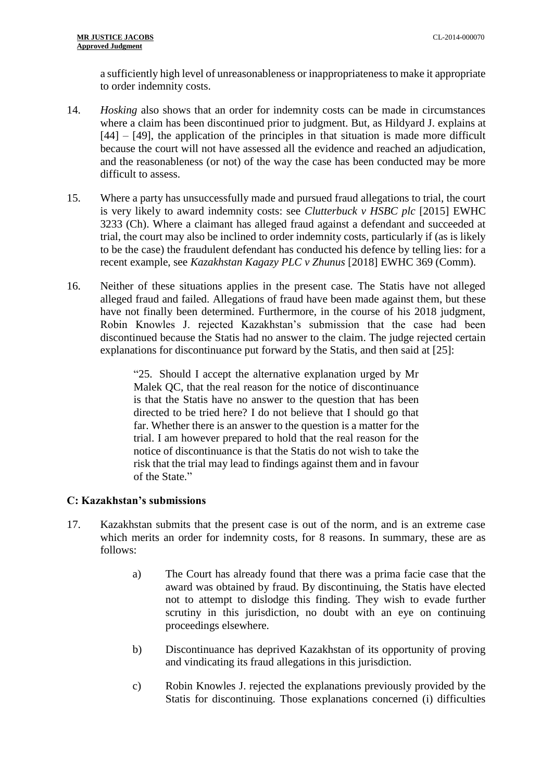a sufficiently high level of unreasonableness or inappropriateness to make it appropriate to order indemnity costs.

- 14. *Hosking* also shows that an order for indemnity costs can be made in circumstances where a claim has been discontinued prior to judgment. But, as Hildyard J. explains at [44] – [49], the application of the principles in that situation is made more difficult because the court will not have assessed all the evidence and reached an adjudication, and the reasonableness (or not) of the way the case has been conducted may be more difficult to assess.
- 15. Where a party has unsuccessfully made and pursued fraud allegations to trial, the court is very likely to award indemnity costs: see *Clutterbuck v HSBC plc* [2015] EWHC 3233 (Ch). Where a claimant has alleged fraud against a defendant and succeeded at trial, the court may also be inclined to order indemnity costs, particularly if (as is likely to be the case) the fraudulent defendant has conducted his defence by telling lies: for a recent example, see *Kazakhstan Kagazy PLC v Zhunus* [2018] EWHC 369 (Comm).
- 16. Neither of these situations applies in the present case. The Statis have not alleged alleged fraud and failed. Allegations of fraud have been made against them, but these have not finally been determined. Furthermore, in the course of his 2018 judgment, Robin Knowles J. rejected Kazakhstan's submission that the case had been discontinued because the Statis had no answer to the claim. The judge rejected certain explanations for discontinuance put forward by the Statis, and then said at [25]:

"25. Should I accept the alternative explanation urged by Mr Malek QC, that the real reason for the notice of discontinuance is that the Statis have no answer to the question that has been directed to be tried here? I do not believe that I should go that far. Whether there is an answer to the question is a matter for the trial. I am however prepared to hold that the real reason for the notice of discontinuance is that the Statis do not wish to take the risk that the trial may lead to findings against them and in favour of the State."

# **C: Kazakhstan's submissions**

- 17. Kazakhstan submits that the present case is out of the norm, and is an extreme case which merits an order for indemnity costs, for 8 reasons. In summary, these are as follows:
	- a) The Court has already found that there was a prima facie case that the award was obtained by fraud. By discontinuing, the Statis have elected not to attempt to dislodge this finding. They wish to evade further scrutiny in this jurisdiction, no doubt with an eye on continuing proceedings elsewhere.
	- b) Discontinuance has deprived Kazakhstan of its opportunity of proving and vindicating its fraud allegations in this jurisdiction.
	- c) Robin Knowles J. rejected the explanations previously provided by the Statis for discontinuing. Those explanations concerned (i) difficulties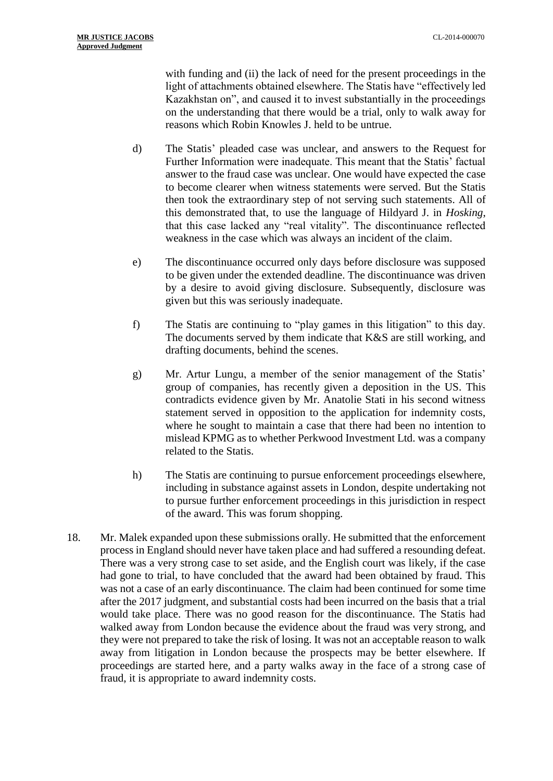with funding and (ii) the lack of need for the present proceedings in the light of attachments obtained elsewhere. The Statis have "effectively led Kazakhstan on", and caused it to invest substantially in the proceedings on the understanding that there would be a trial, only to walk away for reasons which Robin Knowles J. held to be untrue.

- d) The Statis' pleaded case was unclear, and answers to the Request for Further Information were inadequate. This meant that the Statis' factual answer to the fraud case was unclear. One would have expected the case to become clearer when witness statements were served. But the Statis then took the extraordinary step of not serving such statements. All of this demonstrated that, to use the language of Hildyard J. in *Hosking*, that this case lacked any "real vitality". The discontinuance reflected weakness in the case which was always an incident of the claim.
- e) The discontinuance occurred only days before disclosure was supposed to be given under the extended deadline. The discontinuance was driven by a desire to avoid giving disclosure. Subsequently, disclosure was given but this was seriously inadequate.
- f) The Statis are continuing to "play games in this litigation" to this day. The documents served by them indicate that K&S are still working, and drafting documents, behind the scenes.
- g) Mr. Artur Lungu, a member of the senior management of the Statis' group of companies, has recently given a deposition in the US. This contradicts evidence given by Mr. Anatolie Stati in his second witness statement served in opposition to the application for indemnity costs, where he sought to maintain a case that there had been no intention to mislead KPMG as to whether Perkwood Investment Ltd. was a company related to the Statis.
- h) The Statis are continuing to pursue enforcement proceedings elsewhere, including in substance against assets in London, despite undertaking not to pursue further enforcement proceedings in this jurisdiction in respect of the award. This was forum shopping.
- 18. Mr. Malek expanded upon these submissions orally. He submitted that the enforcement process in England should never have taken place and had suffered a resounding defeat. There was a very strong case to set aside, and the English court was likely, if the case had gone to trial, to have concluded that the award had been obtained by fraud. This was not a case of an early discontinuance. The claim had been continued for some time after the 2017 judgment, and substantial costs had been incurred on the basis that a trial would take place. There was no good reason for the discontinuance. The Statis had walked away from London because the evidence about the fraud was very strong, and they were not prepared to take the risk of losing. It was not an acceptable reason to walk away from litigation in London because the prospects may be better elsewhere. If proceedings are started here, and a party walks away in the face of a strong case of fraud, it is appropriate to award indemnity costs.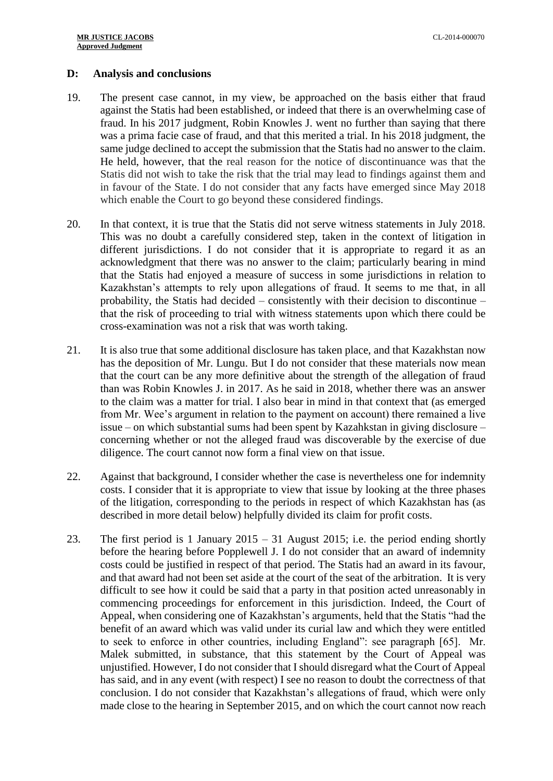#### **D: Analysis and conclusions**

- 19. The present case cannot, in my view, be approached on the basis either that fraud against the Statis had been established, or indeed that there is an overwhelming case of fraud. In his 2017 judgment, Robin Knowles J. went no further than saying that there was a prima facie case of fraud, and that this merited a trial. In his 2018 judgment, the same judge declined to accept the submission that the Statis had no answer to the claim. He held, however, that the real reason for the notice of discontinuance was that the Statis did not wish to take the risk that the trial may lead to findings against them and in favour of the State. I do not consider that any facts have emerged since May 2018 which enable the Court to go beyond these considered findings.
- 20. In that context, it is true that the Statis did not serve witness statements in July 2018. This was no doubt a carefully considered step, taken in the context of litigation in different jurisdictions. I do not consider that it is appropriate to regard it as an acknowledgment that there was no answer to the claim; particularly bearing in mind that the Statis had enjoyed a measure of success in some jurisdictions in relation to Kazakhstan's attempts to rely upon allegations of fraud. It seems to me that, in all probability, the Statis had decided – consistently with their decision to discontinue – that the risk of proceeding to trial with witness statements upon which there could be cross-examination was not a risk that was worth taking.
- 21. It is also true that some additional disclosure has taken place, and that Kazakhstan now has the deposition of Mr. Lungu. But I do not consider that these materials now mean that the court can be any more definitive about the strength of the allegation of fraud than was Robin Knowles J. in 2017. As he said in 2018, whether there was an answer to the claim was a matter for trial. I also bear in mind in that context that (as emerged from Mr. Wee's argument in relation to the payment on account) there remained a live issue – on which substantial sums had been spent by Kazahkstan in giving disclosure – concerning whether or not the alleged fraud was discoverable by the exercise of due diligence. The court cannot now form a final view on that issue.
- 22. Against that background, I consider whether the case is nevertheless one for indemnity costs. I consider that it is appropriate to view that issue by looking at the three phases of the litigation, corresponding to the periods in respect of which Kazakhstan has (as described in more detail below) helpfully divided its claim for profit costs.
- 23. The first period is 1 January 2015 31 August 2015; i.e. the period ending shortly before the hearing before Popplewell J. I do not consider that an award of indemnity costs could be justified in respect of that period. The Statis had an award in its favour, and that award had not been set aside at the court of the seat of the arbitration. It is very difficult to see how it could be said that a party in that position acted unreasonably in commencing proceedings for enforcement in this jurisdiction. Indeed, the Court of Appeal, when considering one of Kazakhstan's arguments, held that the Statis "had the benefit of an award which was valid under its curial law and which they were entitled to seek to enforce in other countries, including England": see paragraph [65]. Mr. Malek submitted, in substance, that this statement by the Court of Appeal was unjustified. However, I do not consider that I should disregard what the Court of Appeal has said, and in any event (with respect) I see no reason to doubt the correctness of that conclusion. I do not consider that Kazakhstan's allegations of fraud, which were only made close to the hearing in September 2015, and on which the court cannot now reach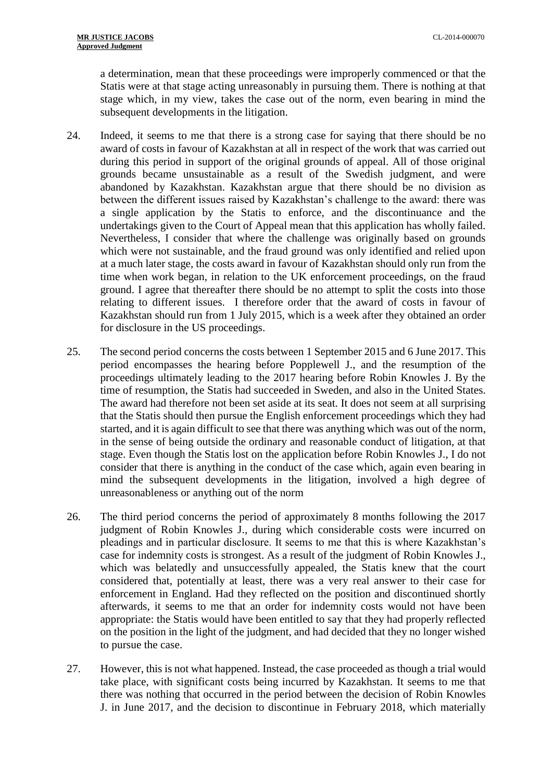a determination, mean that these proceedings were improperly commenced or that the Statis were at that stage acting unreasonably in pursuing them. There is nothing at that stage which, in my view, takes the case out of the norm, even bearing in mind the subsequent developments in the litigation.

- 24. Indeed, it seems to me that there is a strong case for saying that there should be no award of costs in favour of Kazakhstan at all in respect of the work that was carried out during this period in support of the original grounds of appeal. All of those original grounds became unsustainable as a result of the Swedish judgment, and were abandoned by Kazakhstan. Kazakhstan argue that there should be no division as between the different issues raised by Kazakhstan's challenge to the award: there was a single application by the Statis to enforce, and the discontinuance and the undertakings given to the Court of Appeal mean that this application has wholly failed. Nevertheless, I consider that where the challenge was originally based on grounds which were not sustainable, and the fraud ground was only identified and relied upon at a much later stage, the costs award in favour of Kazakhstan should only run from the time when work began, in relation to the UK enforcement proceedings, on the fraud ground. I agree that thereafter there should be no attempt to split the costs into those relating to different issues. I therefore order that the award of costs in favour of Kazakhstan should run from 1 July 2015, which is a week after they obtained an order for disclosure in the US proceedings.
- 25. The second period concerns the costs between 1 September 2015 and 6 June 2017. This period encompasses the hearing before Popplewell J., and the resumption of the proceedings ultimately leading to the 2017 hearing before Robin Knowles J. By the time of resumption, the Statis had succeeded in Sweden, and also in the United States. The award had therefore not been set aside at its seat. It does not seem at all surprising that the Statis should then pursue the English enforcement proceedings which they had started, and it is again difficult to see that there was anything which was out of the norm, in the sense of being outside the ordinary and reasonable conduct of litigation, at that stage. Even though the Statis lost on the application before Robin Knowles J., I do not consider that there is anything in the conduct of the case which, again even bearing in mind the subsequent developments in the litigation, involved a high degree of unreasonableness or anything out of the norm
- 26. The third period concerns the period of approximately 8 months following the 2017 judgment of Robin Knowles J., during which considerable costs were incurred on pleadings and in particular disclosure. It seems to me that this is where Kazakhstan's case for indemnity costs is strongest. As a result of the judgment of Robin Knowles J., which was belatedly and unsuccessfully appealed, the Statis knew that the court considered that, potentially at least, there was a very real answer to their case for enforcement in England. Had they reflected on the position and discontinued shortly afterwards, it seems to me that an order for indemnity costs would not have been appropriate: the Statis would have been entitled to say that they had properly reflected on the position in the light of the judgment, and had decided that they no longer wished to pursue the case.
- 27. However, this is not what happened. Instead, the case proceeded as though a trial would take place, with significant costs being incurred by Kazakhstan. It seems to me that there was nothing that occurred in the period between the decision of Robin Knowles J. in June 2017, and the decision to discontinue in February 2018, which materially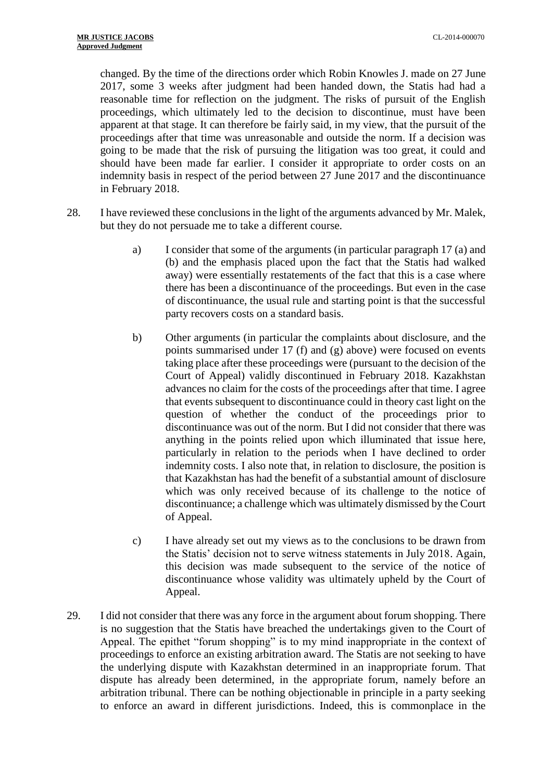changed. By the time of the directions order which Robin Knowles J. made on 27 June 2017, some 3 weeks after judgment had been handed down, the Statis had had a reasonable time for reflection on the judgment. The risks of pursuit of the English proceedings, which ultimately led to the decision to discontinue, must have been apparent at that stage. It can therefore be fairly said, in my view, that the pursuit of the proceedings after that time was unreasonable and outside the norm. If a decision was going to be made that the risk of pursuing the litigation was too great, it could and should have been made far earlier. I consider it appropriate to order costs on an indemnity basis in respect of the period between 27 June 2017 and the discontinuance in February 2018.

- 28. I have reviewed these conclusions in the light of the arguments advanced by Mr. Malek, but they do not persuade me to take a different course.
	- a) I consider that some of the arguments (in particular paragraph 17 (a) and (b) and the emphasis placed upon the fact that the Statis had walked away) were essentially restatements of the fact that this is a case where there has been a discontinuance of the proceedings. But even in the case of discontinuance, the usual rule and starting point is that the successful party recovers costs on a standard basis.
	- b) Other arguments (in particular the complaints about disclosure, and the points summarised under 17 (f) and (g) above) were focused on events taking place after these proceedings were (pursuant to the decision of the Court of Appeal) validly discontinued in February 2018. Kazakhstan advances no claim for the costs of the proceedings after that time. I agree that events subsequent to discontinuance could in theory cast light on the question of whether the conduct of the proceedings prior to discontinuance was out of the norm. But I did not consider that there was anything in the points relied upon which illuminated that issue here, particularly in relation to the periods when I have declined to order indemnity costs. I also note that, in relation to disclosure, the position is that Kazakhstan has had the benefit of a substantial amount of disclosure which was only received because of its challenge to the notice of discontinuance; a challenge which was ultimately dismissed by the Court of Appeal.
	- c) I have already set out my views as to the conclusions to be drawn from the Statis' decision not to serve witness statements in July 2018. Again, this decision was made subsequent to the service of the notice of discontinuance whose validity was ultimately upheld by the Court of Appeal.
- 29. I did not consider that there was any force in the argument about forum shopping. There is no suggestion that the Statis have breached the undertakings given to the Court of Appeal. The epithet "forum shopping" is to my mind inappropriate in the context of proceedings to enforce an existing arbitration award. The Statis are not seeking to have the underlying dispute with Kazakhstan determined in an inappropriate forum. That dispute has already been determined, in the appropriate forum, namely before an arbitration tribunal. There can be nothing objectionable in principle in a party seeking to enforce an award in different jurisdictions. Indeed, this is commonplace in the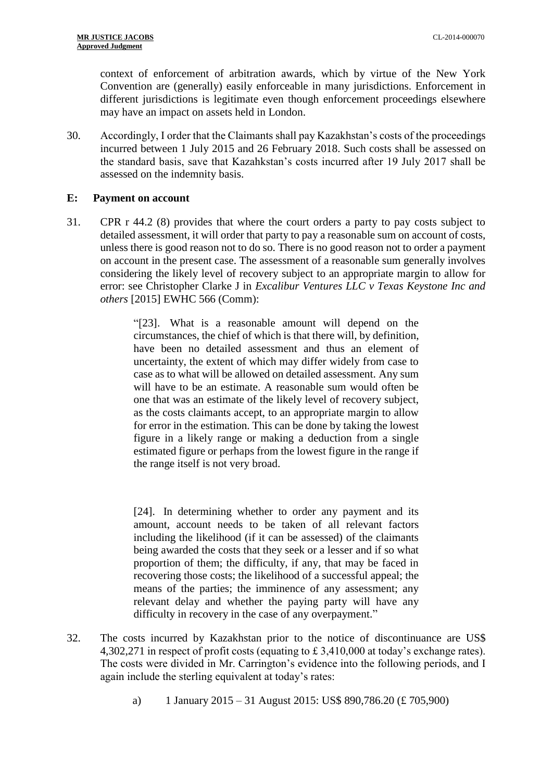context of enforcement of arbitration awards, which by virtue of the New York Convention are (generally) easily enforceable in many jurisdictions. Enforcement in different jurisdictions is legitimate even though enforcement proceedings elsewhere may have an impact on assets held in London.

30. Accordingly, I order that the Claimants shall pay Kazakhstan's costs of the proceedings incurred between 1 July 2015 and 26 February 2018. Such costs shall be assessed on the standard basis, save that Kazahkstan's costs incurred after 19 July 2017 shall be assessed on the indemnity basis.

## **E: Payment on account**

31. CPR r 44.2 (8) provides that where the court orders a party to pay costs subject to detailed assessment, it will order that party to pay a reasonable sum on account of costs, unless there is good reason not to do so. There is no good reason not to order a payment on account in the present case. The assessment of a reasonable sum generally involves considering the likely level of recovery subject to an appropriate margin to allow for error: see Christopher Clarke J in *Excalibur Ventures LLC v Texas Keystone Inc and others* [2015] EWHC 566 (Comm):

> "[23]. What is a reasonable amount will depend on the circumstances, the chief of which is that there will, by definition, have been no detailed assessment and thus an element of uncertainty, the extent of which may differ widely from case to case as to what will be allowed on detailed assessment. Any sum will have to be an estimate. A reasonable sum would often be one that was an estimate of the likely level of recovery subject, as the costs claimants accept, to an appropriate margin to allow for error in the estimation. This can be done by taking the lowest figure in a likely range or making a deduction from a single estimated figure or perhaps from the lowest figure in the range if the range itself is not very broad.

> [24]. In determining whether to order any payment and its amount, account needs to be taken of all relevant factors including the likelihood (if it can be assessed) of the claimants being awarded the costs that they seek or a lesser and if so what proportion of them; the difficulty, if any, that may be faced in recovering those costs; the likelihood of a successful appeal; the means of the parties; the imminence of any assessment; any relevant delay and whether the paying party will have any difficulty in recovery in the case of any overpayment."

- 32. The costs incurred by Kazakhstan prior to the notice of discontinuance are US\$ 4,302,271 in respect of profit costs (equating to £ 3,410,000 at today's exchange rates). The costs were divided in Mr. Carrington's evidence into the following periods, and I again include the sterling equivalent at today's rates:
	- a) 1 January 2015 31 August 2015: US\$ 890,786.20 (£ 705,900)